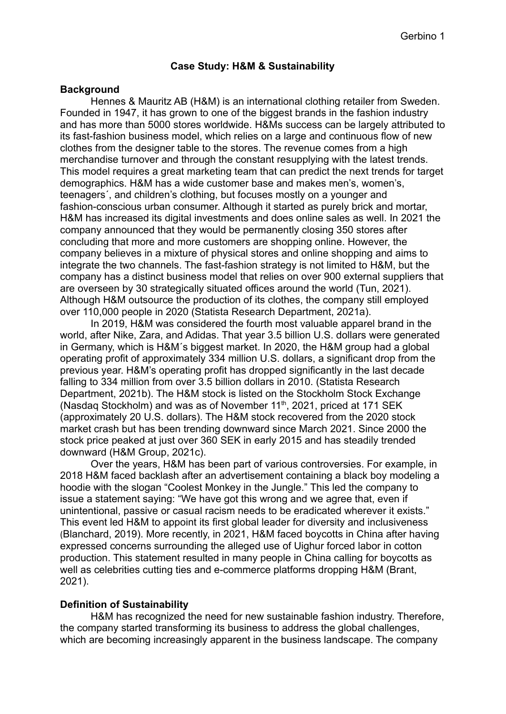## **Case Study: H&M & Sustainability**

#### **Background**

Hennes & Mauritz AB (H&M) is an international clothing retailer from Sweden. Founded in 1947, it has grown to one of the biggest brands in the fashion industry and has more than 5000 stores worldwide. H&Ms success can be largely attributed to its fast-fashion business model, which relies on a large and continuous flow of new clothes from the designer table to the stores. The revenue comes from a high merchandise turnover and through the constant resupplying with the latest trends. This model requires a great marketing team that can predict the next trends for target demographics. H&M has a wide customer base and makes men's, women's, teenagers´, and children's clothing, but focuses mostly on a younger and fashion-conscious urban consumer. Although it started as purely brick and mortar, H&M has increased its digital investments and does online sales as well. In 2021 the company announced that they would be permanently closing 350 stores after concluding that more and more customers are shopping online. However, the company believes in a mixture of physical stores and online shopping and aims to integrate the two channels. The fast-fashion strategy is not limited to H&M, but the company has a distinct business model that relies on over 900 external suppliers that are overseen by 30 strategically situated offices around the world (Tun, 2021). Although H&M outsource the production of its clothes, the company still employed over 110,000 people in 2020 (Statista Research Department, 2021a).

In 2019, H&M was considered the fourth most valuable apparel brand in the world, after Nike, Zara, and Adidas. That year 3.5 billion U.S. dollars were generated in Germany, which is H&M´s biggest market. In 2020, the H&M group had a global operating profit of approximately 334 million U.S. dollars, a significant drop from the previous year. H&M's operating profit has dropped significantly in the last decade falling to 334 million from over 3.5 billion dollars in 2010. (Statista Research Department, 2021b). The H&M stock is listed on the Stockholm Stock Exchange (Nasdaq Stockholm) and was as of November 11<sup>th</sup>, 2021, priced at 171 SEK (approximately 20 U.S. dollars). The H&M stock recovered from the 2020 stock market crash but has been trending downward since March 2021. Since 2000 the stock price peaked at just over 360 SEK in early 2015 and has steadily trended downward (H&M Group, 2021c).

Over the years, H&M has been part of various controversies. For example, in 2018 H&M faced backlash after an advertisement containing a black boy modeling a hoodie with the slogan "Coolest Monkey in the Jungle." This led the company to issue a statement saying: "We have got this wrong and we agree that, even if unintentional, passive or casual racism needs to be eradicated wherever it exists." This event led H&M to appoint its first global leader for diversity and inclusiveness (Blanchard, 2019). More recently, in 2021, H&M faced boycotts in China after having expressed concerns surrounding the alleged use of Uighur forced labor in cotton production. This statement resulted in many people in China calling for boycotts as well as celebrities cutting ties and e-commerce platforms dropping H&M (Brant, 2021).

## **Definition of Sustainability**

H&M has recognized the need for new sustainable fashion industry. Therefore, the company started transforming its business to address the global challenges, which are becoming increasingly apparent in the business landscape. The company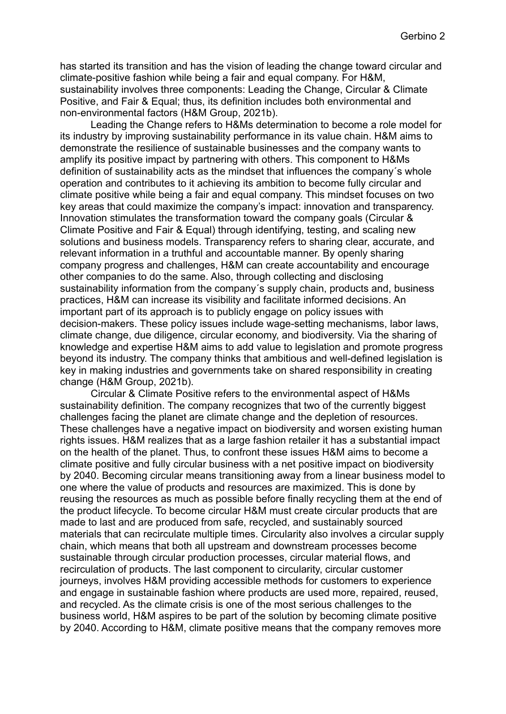has started its transition and has the vision of leading the change toward circular and climate-positive fashion while being a fair and equal company. For H&M, sustainability involves three components: Leading the Change, Circular & Climate Positive, and Fair & Equal; thus, its definition includes both environmental and non-environmental factors (H&M Group, 2021b).

Leading the Change refers to H&Ms determination to become a role model for its industry by improving sustainability performance in its value chain. H&M aims to demonstrate the resilience of sustainable businesses and the company wants to amplify its positive impact by partnering with others. This component to H&Ms definition of sustainability acts as the mindset that influences the company´s whole operation and contributes to it achieving its ambition to become fully circular and climate positive while being a fair and equal company. This mindset focuses on two key areas that could maximize the company's impact: innovation and transparency. Innovation stimulates the transformation toward the company goals (Circular & Climate Positive and Fair & Equal) through identifying, testing, and scaling new solutions and business models. Transparency refers to sharing clear, accurate, and relevant information in a truthful and accountable manner. By openly sharing company progress and challenges, H&M can create accountability and encourage other companies to do the same. Also, through collecting and disclosing sustainability information from the company´s supply chain, products and, business practices, H&M can increase its visibility and facilitate informed decisions. An important part of its approach is to publicly engage on policy issues with decision-makers. These policy issues include wage-setting mechanisms, labor laws, climate change, due diligence, circular economy, and biodiversity. Via the sharing of knowledge and expertise H&M aims to add value to legislation and promote progress beyond its industry. The company thinks that ambitious and well-defined legislation is key in making industries and governments take on shared responsibility in creating change (H&M Group, 2021b).

Circular & Climate Positive refers to the environmental aspect of H&Ms sustainability definition. The company recognizes that two of the currently biggest challenges facing the planet are climate change and the depletion of resources. These challenges have a negative impact on biodiversity and worsen existing human rights issues. H&M realizes that as a large fashion retailer it has a substantial impact on the health of the planet. Thus, to confront these issues H&M aims to become a climate positive and fully circular business with a net positive impact on biodiversity by 2040. Becoming circular means transitioning away from a linear business model to one where the value of products and resources are maximized. This is done by reusing the resources as much as possible before finally recycling them at the end of the product lifecycle. To become circular H&M must create circular products that are made to last and are produced from safe, recycled, and sustainably sourced materials that can recirculate multiple times. Circularity also involves a circular supply chain, which means that both all upstream and downstream processes become sustainable through circular production processes, circular material flows, and recirculation of products. The last component to circularity, circular customer journeys, involves H&M providing accessible methods for customers to experience and engage in sustainable fashion where products are used more, repaired, reused, and recycled. As the climate crisis is one of the most serious challenges to the business world, H&M aspires to be part of the solution by becoming climate positive by 2040. According to H&M, climate positive means that the company removes more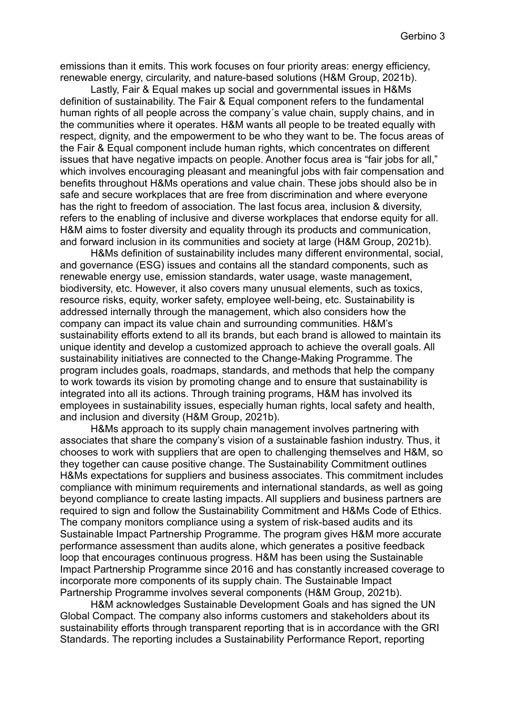emissions than it emits. This work focuses on four priority areas: energy efficiency, renewable energy, circularity, and nature-based solutions (H&M Group, 2021b).

Lastly, Fair & Equal makes up social and governmental issues in H&Ms definition of sustainability. The Fair & Equal component refers to the fundamental human rights of all people across the company´s value chain, supply chains, and in the communities where it operates. H&M wants all people to be treated equally with respect, dignity, and the empowerment to be who they want to be. The focus areas of the Fair & Equal component include human rights, which concentrates on different issues that have negative impacts on people. Another focus area is "fair jobs for all," which involves encouraging pleasant and meaningful jobs with fair compensation and benefits throughout H&Ms operations and value chain. These jobs should also be in safe and secure workplaces that are free from discrimination and where everyone has the right to freedom of association. The last focus area, inclusion & diversity, refers to the enabling of inclusive and diverse workplaces that endorse equity for all. H&M aims to foster diversity and equality through its products and communication, and forward inclusion in its communities and society at large (H&M Group, 2021b).

H&Ms definition of sustainability includes many different environmental, social, and governance (ESG) issues and contains all the standard components, such as renewable energy use, emission standards, water usage, waste management, biodiversity, etc. However, it also covers many unusual elements, such as toxics, resource risks, equity, worker safety, employee well-being, etc. Sustainability is addressed internally through the management, which also considers how the company can impact its value chain and surrounding communities. H&M's sustainability efforts extend to all its brands, but each brand is allowed to maintain its unique identity and develop a customized approach to achieve the overall goals. All sustainability initiatives are connected to the Change-Making Programme. The program includes goals, roadmaps, standards, and methods that help the company to work towards its vision by promoting change and to ensure that sustainability is integrated into all its actions. Through training programs, H&M has involved its employees in sustainability issues, especially human rights, local safety and health, and inclusion and diversity (H&M Group, 2021b).

H&Ms approach to its supply chain management involves partnering with associates that share the company's vision of a sustainable fashion industry. Thus, it chooses to work with suppliers that are open to challenging themselves and H&M, so they together can cause positive change. The Sustainability Commitment outlines H&Ms expectations for suppliers and business associates. This commitment includes compliance with minimum requirements and international standards, as well as going beyond compliance to create lasting impacts. All suppliers and business partners are required to sign and follow the Sustainability Commitment and H&Ms Code of Ethics. The company monitors compliance using a system of risk-based audits and its Sustainable Impact Partnership Programme. The program gives H&M more accurate performance assessment than audits alone, which generates a positive feedback loop that encourages continuous progress. H&M has been using the Sustainable Impact Partnership Programme since 2016 and has constantly increased coverage to incorporate more components of its supply chain. The Sustainable Impact Partnership Programme involves several components (H&M Group, 2021b).

H&M acknowledges Sustainable Development Goals and has signed the UN Global Compact. The company also informs customers and stakeholders about its sustainability efforts through transparent reporting that is in accordance with the GRI Standards. The reporting includes a Sustainability Performance Report, reporting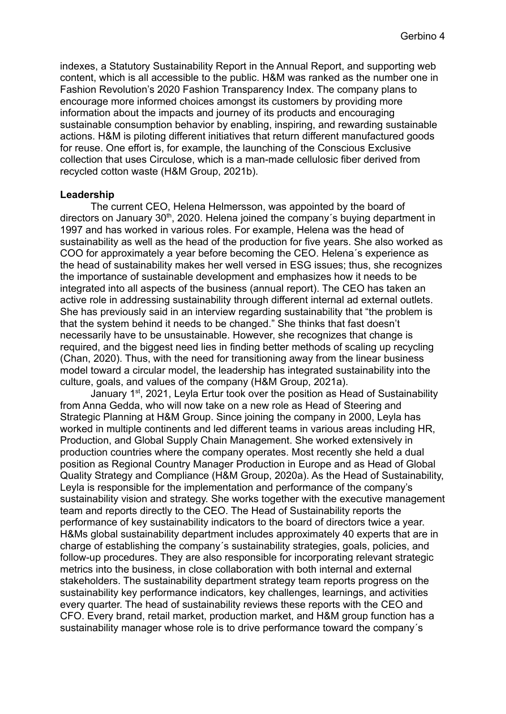indexes, a Statutory Sustainability Report in the Annual Report, and supporting web content, which is all accessible to the public. H&M was ranked as the number one in Fashion Revolution's 2020 Fashion Transparency Index. The company plans to encourage more informed choices amongst its customers by providing more information about the impacts and journey of its products and encouraging sustainable consumption behavior by enabling, inspiring, and rewarding sustainable actions. H&M is piloting different initiatives that return different manufactured goods for reuse. One effort is, for example, the launching of the Conscious Exclusive collection that uses Circulose, which is a man-made cellulosic fiber derived from recycled cotton waste (H&M Group, 2021b).

## **Leadership**

The current CEO, Helena Helmersson, was appointed by the board of directors on January 30<sup>th</sup>, 2020. Helena joined the company's buying department in 1997 and has worked in various roles. For example, Helena was the head of sustainability as well as the head of the production for five years. She also worked as COO for approximately a year before becoming the CEO. Helena´s experience as the head of sustainability makes her well versed in ESG issues; thus, she recognizes the importance of sustainable development and emphasizes how it needs to be integrated into all aspects of the business (annual report). The CEO has taken an active role in addressing sustainability through different internal ad external outlets. She has previously said in an interview regarding sustainability that "the problem is that the system behind it needs to be changed." She thinks that fast doesn't necessarily have to be unsustainable. However, she recognizes that change is required, and the biggest need lies in finding better methods of scaling up recycling (Chan, 2020). Thus, with the need for transitioning away from the linear business model toward a circular model, the leadership has integrated sustainability into the culture, goals, and values of the company (H&M Group, 2021a).

January 1<sup>st</sup>, 2021, Leyla Ertur took over the position as Head of Sustainability from Anna Gedda, who will now take on a new role as Head of Steering and Strategic Planning at H&M Group. Since joining the company in 2000, Leyla has worked in multiple continents and led different teams in various areas including HR, Production, and Global Supply Chain Management. She worked extensively in production countries where the company operates. Most recently she held a dual position as Regional Country Manager Production in Europe and as Head of Global Quality Strategy and Compliance (H&M Group, 2020a). As the Head of Sustainability, Leyla is responsible for the implementation and performance of the company's sustainability vision and strategy. She works together with the executive management team and reports directly to the CEO. The Head of Sustainability reports the performance of key sustainability indicators to the board of directors twice a year. H&Ms global sustainability department includes approximately 40 experts that are in charge of establishing the company´s sustainability strategies, goals, policies, and follow-up procedures. They are also responsible for incorporating relevant strategic metrics into the business, in close collaboration with both internal and external stakeholders. The sustainability department strategy team reports progress on the sustainability key performance indicators, key challenges, learnings, and activities every quarter. The head of sustainability reviews these reports with the CEO and CFO. Every brand, retail market, production market, and H&M group function has a sustainability manager whose role is to drive performance toward the company´s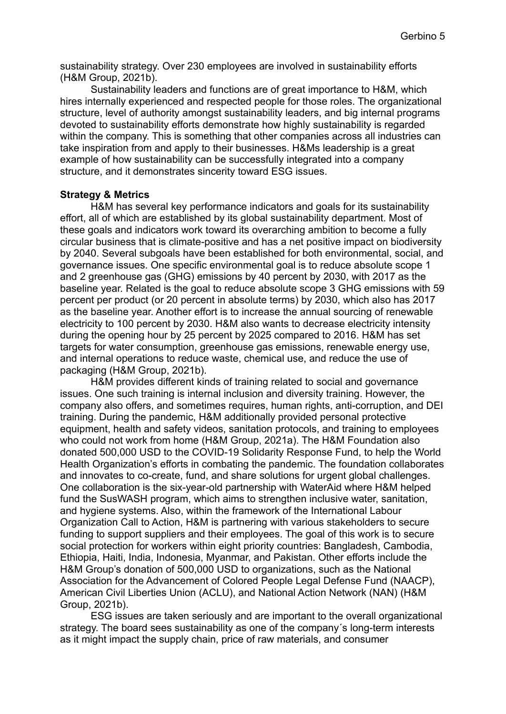sustainability strategy. Over 230 employees are involved in sustainability efforts (H&M Group, 2021b).

Sustainability leaders and functions are of great importance to H&M, which hires internally experienced and respected people for those roles. The organizational structure, level of authority amongst sustainability leaders, and big internal programs devoted to sustainability efforts demonstrate how highly sustainability is regarded within the company. This is something that other companies across all industries can take inspiration from and apply to their businesses. H&Ms leadership is a great example of how sustainability can be successfully integrated into a company structure, and it demonstrates sincerity toward ESG issues.

## **Strategy & Metrics**

H&M has several key performance indicators and goals for its sustainability effort, all of which are established by its global sustainability department. Most of these goals and indicators work toward its overarching ambition to become a fully circular business that is climate-positive and has a net positive impact on biodiversity by 2040. Several subgoals have been established for both environmental, social, and governance issues. One specific environmental goal is to reduce absolute scope 1 and 2 greenhouse gas (GHG) emissions by 40 percent by 2030, with 2017 as the baseline year. Related is the goal to reduce absolute scope 3 GHG emissions with 59 percent per product (or 20 percent in absolute terms) by 2030, which also has 2017 as the baseline year. Another effort is to increase the annual sourcing of renewable electricity to 100 percent by 2030. H&M also wants to decrease electricity intensity during the opening hour by 25 percent by 2025 compared to 2016. H&M has set targets for water consumption, greenhouse gas emissions, renewable energy use, and internal operations to reduce waste, chemical use, and reduce the use of packaging (H&M Group, 2021b).

H&M provides different kinds of training related to social and governance issues. One such training is internal inclusion and diversity training. However, the company also offers, and sometimes requires, human rights, anti-corruption, and DEI training. During the pandemic, H&M additionally provided personal protective equipment, health and safety videos, sanitation protocols, and training to employees who could not work from home (H&M Group, 2021a). The H&M Foundation also donated 500,000 USD to the COVID-19 Solidarity Response Fund, to help the World Health Organization's efforts in combating the pandemic. The foundation collaborates and innovates to co-create, fund, and share solutions for urgent global challenges. One collaboration is the six-year-old partnership with WaterAid where H&M helped fund the SusWASH program, which aims to strengthen inclusive water, sanitation, and hygiene systems. Also, within the framework of the International Labour Organization Call to Action, H&M is partnering with various stakeholders to secure funding to support suppliers and their employees. The goal of this work is to secure social protection for workers within eight priority countries: Bangladesh, Cambodia, Ethiopia, Haiti, India, Indonesia, Myanmar, and Pakistan. Other efforts include the H&M Group's donation of 500,000 USD to organizations, such as the National Association for the Advancement of Colored People Legal Defense Fund (NAACP), American Civil Liberties Union (ACLU), and National Action Network (NAN) (H&M Group, 2021b).

ESG issues are taken seriously and are important to the overall organizational strategy. The board sees sustainability as one of the company´s long-term interests as it might impact the supply chain, price of raw materials, and consumer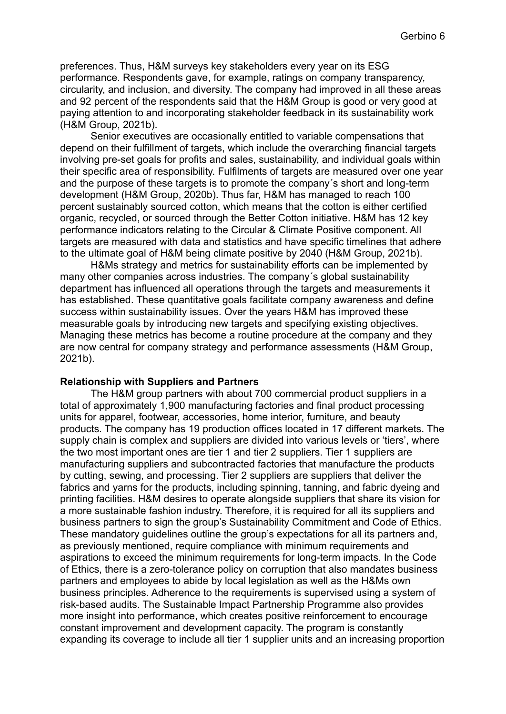preferences. Thus, H&M surveys key stakeholders every year on its ESG performance. Respondents gave, for example, ratings on company transparency, circularity, and inclusion, and diversity. The company had improved in all these areas and 92 percent of the respondents said that the H&M Group is good or very good at paying attention to and incorporating stakeholder feedback in its sustainability work (H&M Group, 2021b).

Senior executives are occasionally entitled to variable compensations that depend on their fulfillment of targets, which include the overarching financial targets involving pre-set goals for profits and sales, sustainability, and individual goals within their specific area of responsibility. Fulfilments of targets are measured over one year and the purpose of these targets is to promote the company´s short and long-term development (H&M Group, 2020b). Thus far, H&M has managed to reach 100 percent sustainably sourced cotton, which means that the cotton is either certified organic, recycled, or sourced through the Better Cotton initiative. H&M has 12 key performance indicators relating to the Circular & Climate Positive component. All targets are measured with data and statistics and have specific timelines that adhere to the ultimate goal of H&M being climate positive by 2040 (H&M Group, 2021b).

H&Ms strategy and metrics for sustainability efforts can be implemented by many other companies across industries. The company´s global sustainability department has influenced all operations through the targets and measurements it has established. These quantitative goals facilitate company awareness and define success within sustainability issues. Over the years H&M has improved these measurable goals by introducing new targets and specifying existing objectives. Managing these metrics has become a routine procedure at the company and they are now central for company strategy and performance assessments (H&M Group, 2021b).

## **Relationship with Suppliers and Partners**

The H&M group partners with about 700 commercial product suppliers in a total of approximately 1,900 manufacturing factories and final product processing units for apparel, footwear, accessories, home interior, furniture, and beauty products. The company has 19 production offices located in 17 different markets. The supply chain is complex and suppliers are divided into various levels or 'tiers', where the two most important ones are tier 1 and tier 2 suppliers. Tier 1 suppliers are manufacturing suppliers and subcontracted factories that manufacture the products by cutting, sewing, and processing. Tier 2 suppliers are suppliers that deliver the fabrics and yarns for the products, including spinning, tanning, and fabric dyeing and printing facilities. H&M desires to operate alongside suppliers that share its vision for a more sustainable fashion industry. Therefore, it is required for all its suppliers and business partners to sign the group's Sustainability Commitment and Code of Ethics. These mandatory guidelines outline the group's expectations for all its partners and, as previously mentioned, require compliance with minimum requirements and aspirations to exceed the minimum requirements for long-term impacts. In the Code of Ethics, there is a zero-tolerance policy on corruption that also mandates business partners and employees to abide by local legislation as well as the H&Ms own business principles. Adherence to the requirements is supervised using a system of risk-based audits. The Sustainable Impact Partnership Programme also provides more insight into performance, which creates positive reinforcement to encourage constant improvement and development capacity. The program is constantly expanding its coverage to include all tier 1 supplier units and an increasing proportion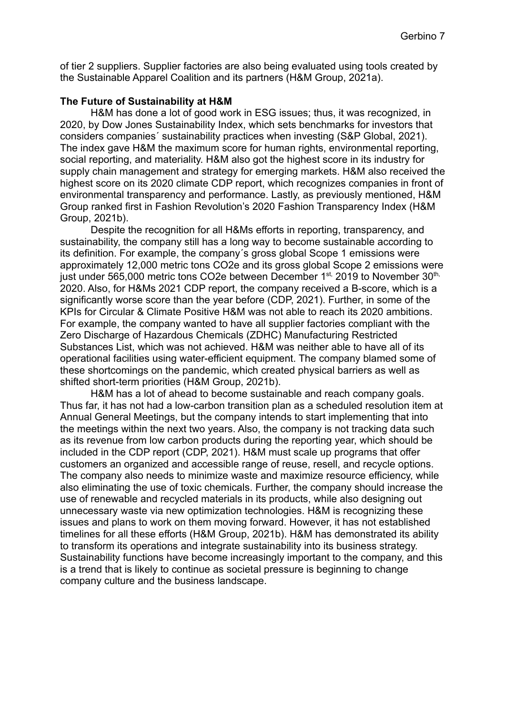of tier 2 suppliers. Supplier factories are also being evaluated using tools created by the Sustainable Apparel Coalition and its partners (H&M Group, 2021a).

#### **The Future of Sustainability at H&M**

H&M has done a lot of good work in ESG issues; thus, it was recognized, in 2020, by Dow Jones Sustainability Index, which sets benchmarks for investors that considers companies´ sustainability practices when investing (S&P Global, 2021). The index gave H&M the maximum score for human rights, environmental reporting, social reporting, and materiality. H&M also got the highest score in its industry for supply chain management and strategy for emerging markets. H&M also received the highest score on its 2020 climate CDP report, which recognizes companies in front of environmental transparency and performance. Lastly, as previously mentioned, H&M Group ranked first in Fashion Revolution's 2020 Fashion Transparency Index (H&M Group, 2021b).

Despite the recognition for all H&Ms efforts in reporting, transparency, and sustainability, the company still has a long way to become sustainable according to its definition. For example, the company´s gross global Scope 1 emissions were approximately 12,000 metric tons CO2e and its gross global Scope 2 emissions were just under 565,000 metric tons CO2e between December 1<sup>st,</sup> 2019 to November 30<sup>th,</sup> 2020. Also, for H&Ms 2021 CDP report, the company received a B-score, which is a significantly worse score than the year before (CDP, 2021). Further, in some of the KPIs for Circular & Climate Positive H&M was not able to reach its 2020 ambitions. For example, the company wanted to have all supplier factories compliant with the Zero Discharge of Hazardous Chemicals (ZDHC) Manufacturing Restricted Substances List, which was not achieved. H&M was neither able to have all of its operational facilities using water-efficient equipment. The company blamed some of these shortcomings on the pandemic, which created physical barriers as well as shifted short-term priorities (H&M Group, 2021b).

H&M has a lot of ahead to become sustainable and reach company goals. Thus far, it has not had a low-carbon transition plan as a scheduled resolution item at Annual General Meetings, but the company intends to start implementing that into the meetings within the next two years. Also, the company is not tracking data such as its revenue from low carbon products during the reporting year, which should be included in the CDP report (CDP, 2021). H&M must scale up programs that offer customers an organized and accessible range of reuse, resell, and recycle options. The company also needs to minimize waste and maximize resource efficiency, while also eliminating the use of toxic chemicals. Further, the company should increase the use of renewable and recycled materials in its products, while also designing out unnecessary waste via new optimization technologies. H&M is recognizing these issues and plans to work on them moving forward. However, it has not established timelines for all these efforts (H&M Group, 2021b). H&M has demonstrated its ability to transform its operations and integrate sustainability into its business strategy. Sustainability functions have become increasingly important to the company, and this is a trend that is likely to continue as societal pressure is beginning to change company culture and the business landscape.